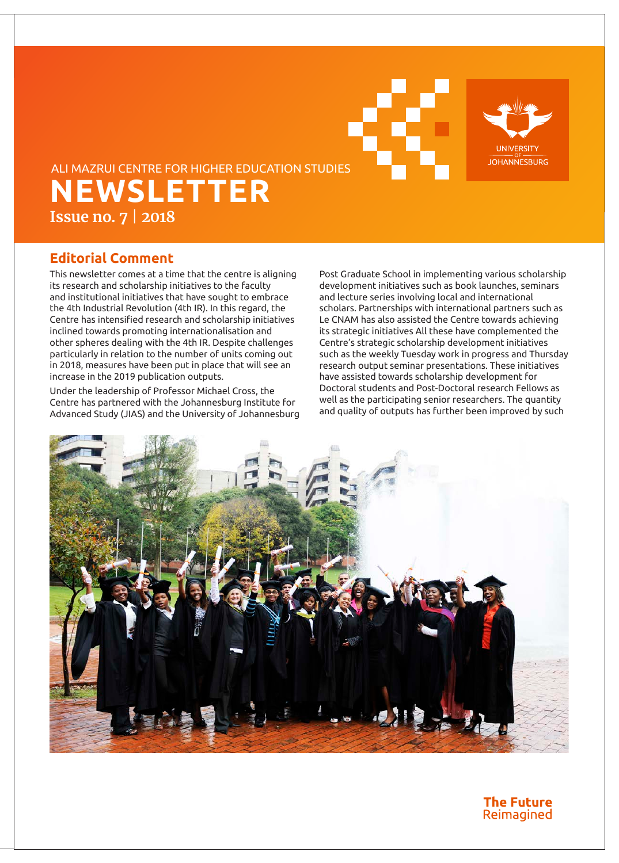



# **NEWSLETTER Issue no. 7** | **2018** ALI MAZRUI CENTRE FOR HIGHER EDUCATION STUDIES

### **Editorial Comment**

This newsletter comes at a time that the centre is aligning its research and scholarship initiatives to the faculty and institutional initiatives that have sought to embrace the 4th Industrial Revolution (4th IR). In this regard, the Centre has intensified research and scholarship initiatives inclined towards promoting internationalisation and other spheres dealing with the 4th IR. Despite challenges particularly in relation to the number of units coming out in 2018, measures have been put in place that will see an increase in the 2019 publication outputs.

Under the leadership of Professor Michael Cross, the Centre has partnered with the Johannesburg Institute for Advanced Study (JIAS) and the University of Johannesburg Post Graduate School in implementing various scholarship development initiatives such as book launches, seminars and lecture series involving local and international scholars. Partnerships with international partners such as Le CNAM has also assisted the Centre towards achieving its strategic initiatives All these have complemented the Centre's strategic scholarship development initiatives such as the weekly Tuesday work in progress and Thursday research output seminar presentations. These initiatives have assisted towards scholarship development for Doctoral students and Post-Doctoral research Fellows as well as the participating senior researchers. The quantity and quality of outputs has further been improved by such



### **The Future** Reimagined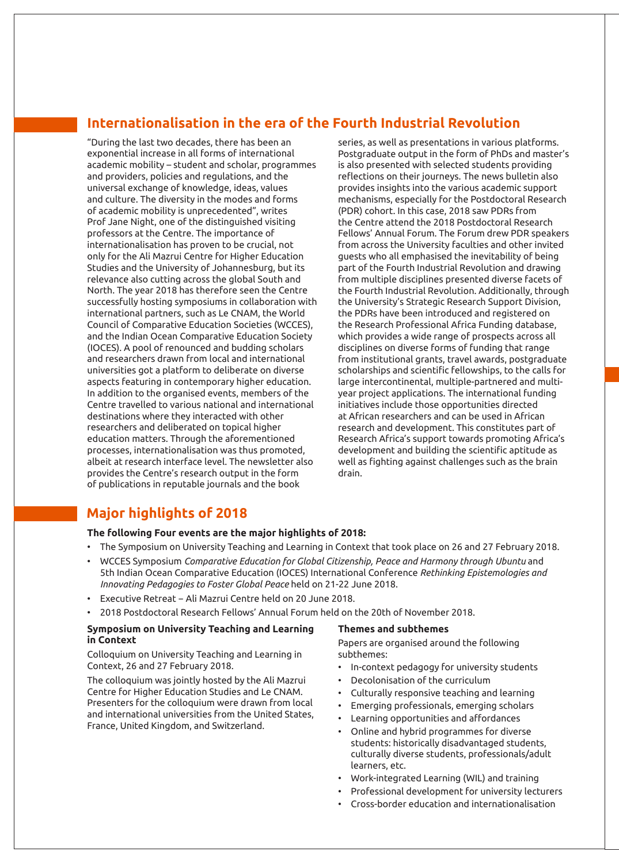### **Internationalisation in the era of the Fourth Industrial Revolution**

"During the last two decades, there has been an exponential increase in all forms of international academic mobility – student and scholar, programmes and providers, policies and regulations, and the universal exchange of knowledge, ideas, values and culture. The diversity in the modes and forms of academic mobility is unprecedented", writes Prof Jane Night, one of the distinguished visiting professors at the Centre. The importance of internationalisation has proven to be crucial, not only for the Ali Mazrui Centre for Higher Education Studies and the University of Johannesburg, but its relevance also cutting across the global South and North. The year 2018 has therefore seen the Centre successfully hosting symposiums in collaboration with international partners, such as Le CNAM, the World Council of Comparative Education Societies (WCCES), and the Indian Ocean Comparative Education Society (IOCES). A pool of renounced and budding scholars and researchers drawn from local and international universities got a platform to deliberate on diverse aspects featuring in contemporary higher education. In addition to the organised events, members of the Centre travelled to various national and international destinations where they interacted with other researchers and deliberated on topical higher education matters. Through the aforementioned processes, internationalisation was thus promoted, albeit at research interface level. The newsletter also provides the Centre's research output in the form of publications in reputable journals and the book

series, as well as presentations in various platforms. Postgraduate output in the form of PhDs and master's is also presented with selected students providing reflections on their journeys. The news bulletin also provides insights into the various academic support mechanisms, especially for the Postdoctoral Research (PDR) cohort. In this case, 2018 saw PDRs from the Centre attend the 2018 Postdoctoral Research Fellows' Annual Forum. The Forum drew PDR speakers from across the University faculties and other invited guests who all emphasised the inevitability of being part of the Fourth Industrial Revolution and drawing from multiple disciplines presented diverse facets of the Fourth Industrial Revolution. Additionally, through the University's Strategic Research Support Division, the PDRs have been introduced and registered on the Research Professional Africa Funding database, which provides a wide range of prospects across all disciplines on diverse forms of funding that range from institutional grants, travel awards, postgraduate scholarships and scientific fellowships, to the calls for large intercontinental, multiple-partnered and multiyear project applications. The international funding initiatives include those opportunities directed at African researchers and can be used in African research and development. This constitutes part of Research Africa's support towards promoting Africa's development and building the scientific aptitude as well as fighting against challenges such as the brain drain.

### **Major highlights of 2018**

#### **The following Four events are the major highlights of 2018:**

- The Symposium on University Teaching and Learning in Context that took place on 26 and 27 February 2018.
- WCCES Symposium *Comparative Education for Global Citizenship, Peace and Harmony through Ubuntu* and 5th Indian Ocean Comparative Education (IOCES) International Conference *Rethinking Epistemologies and Innovating Pedagogies to Foster Global Peace* held on 21-22 June 2018.
- Executive Retreat − Ali Mazrui Centre held on 20 June 2018.
- 2018 Postdoctoral Research Fellows' Annual Forum held on the 20th of November 2018.

#### **Symposium on University Teaching and Learning in Context**

Colloquium on University Teaching and Learning in Context, 26 and 27 February 2018.

The colloquium was jointly hosted by the Ali Mazrui Centre for Higher Education Studies and Le CNAM. Presenters for the colloquium were drawn from local and international universities from the United States, France, United Kingdom, and Switzerland.

#### **Themes and subthemes**

Papers are organised around the following subthemes:

- In-context pedagogy for university students
- Decolonisation of the curriculum
- Culturally responsive teaching and learning
- Emerging professionals, emerging scholars
- Learning opportunities and affordances
- Online and hybrid programmes for diverse students: historically disadvantaged students, culturally diverse students, professionals/adult learners, etc.
- Work-integrated Learning (WIL) and training
- Professional development for university lecturers
- Cross-border education and internationalisation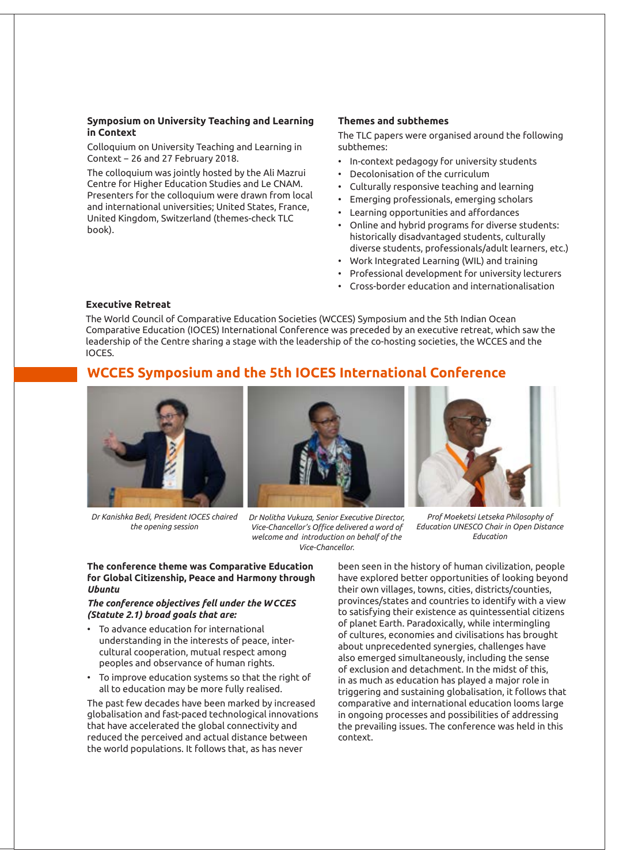#### **Symposium on University Teaching and Learning in Context**

Colloquium on University Teaching and Learning in Context − 26 and 27 February 2018.

The colloquium was jointly hosted by the Ali Mazrui Centre for Higher Education Studies and Le CNAM. Presenters for the colloquium were drawn from local and international universities; United States, France, United Kingdom, Switzerland (themes-check TLC book).

#### **Themes and subthemes**

The TLC papers were organised around the following subthemes:

- In-context pedagogy for university students
- Decolonisation of the curriculum
- Culturally responsive teaching and learning
- Emerging professionals, emerging scholars
- Learning opportunities and affordances
- Online and hybrid programs for diverse students: historically disadvantaged students, culturally diverse students, professionals/adult learners, etc.)
- Work Integrated Learning (WIL) and training
- Professional development for university lecturers
- Cross-border education and internationalisation

#### **Executive Retreat**

The World Council of Comparative Education Societies (WCCES) Symposium and the 5th Indian Ocean Comparative Education (IOCES) International Conference was preceded by an executive retreat, which saw the leadership of the Centre sharing a stage with the leadership of the co-hosting societies, the WCCES and the IOCES.

### **WCCES Symposium and the 5th IOCES International Conference**



*Dr Kanishka Bedi, President IOCES chaired the opening session*



*Dr Nolitha Vukuza, Senior Executive Director, Vice-Chancellor's Office delivered a word of welcome and introduction on behalf of the Vice-Chancellor.*



*Prof Moeketsi Letseka Philosophy of Education UNESCO Chair in Open Distance Education*

#### **The conference theme was Comparative Education for Global Citizenship, Peace and Harmony through**  *Ubuntu*

#### *The conference objectives fell under the WCCES (Statute 2.1) broad goals that are:*

- To advance education for international understanding in the interests of peace, intercultural cooperation, mutual respect among peoples and observance of human rights.
- To improve education systems so that the right of all to education may be more fully realised.

The past few decades have been marked by increased globalisation and fast-paced technological innovations that have accelerated the global connectivity and reduced the perceived and actual distance between the world populations. It follows that, as has never

been seen in the history of human civilization, people have explored better opportunities of looking beyond their own villages, towns, cities, districts/counties, provinces/states and countries to identify with a view to satisfying their existence as quintessential citizens of planet Earth. Paradoxically, while intermingling of cultures, economies and civilisations has brought about unprecedented synergies, challenges have also emerged simultaneously, including the sense of exclusion and detachment. In the midst of this, in as much as education has played a major role in triggering and sustaining globalisation, it follows that comparative and international education looms large in ongoing processes and possibilities of addressing the prevailing issues. The conference was held in this context.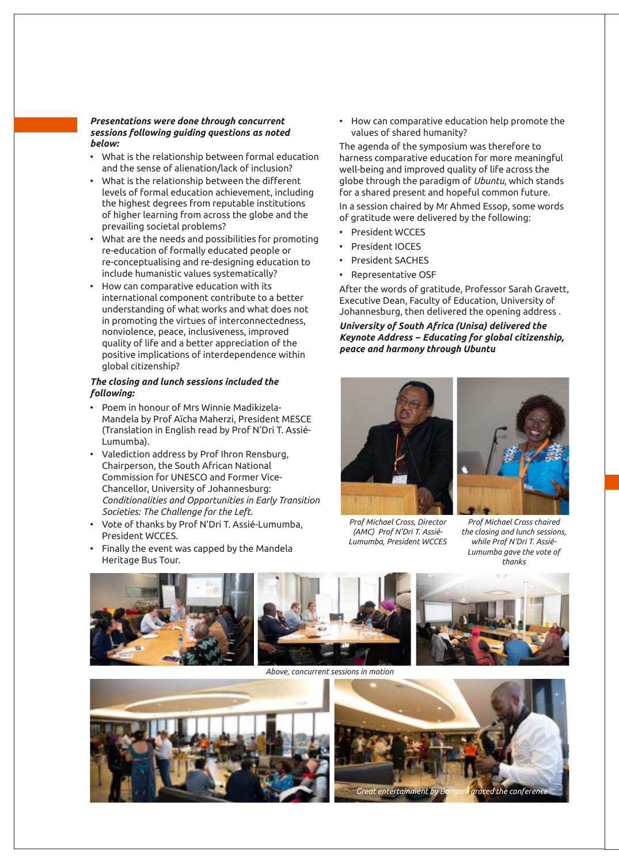#### *Presentations were done through concurrent sessions following guiding questions as noted below:*

- What is the relationship between formal education and the sense of alienation/lack of inclusion?
- What is the relationship between the different levels of formal education achievement, including the highest degrees from reputable institutions of higher learning from across the globe and the prevailing societal problems?
- What are the needs and possibilities for promoting re-education of formally educated people or re-conceptualising and re-designing education to include humanistic values systematically?
- How can comparative education with its international component contribute to a better understanding of what works and what does not in promoting the virtues of interconnectedness, nonviolence, peace, inclusiveness, improved quality of life and a better appreciation of the positive implications of interdependence within global citizenship?

#### *The closing and lunch sessions included the following:*

- Poem in honour of Mrs Winnie Madikizela-Mandela by Prof Aïcha Maherzi, President MESCE (Translation in English read by Prof N'Dri T. Assié-Lumumba).
- Valediction address by Prof Ihron Rensburg, Chairperson, the South African National Commission for UNESCO and Former Vice-Chancellor, University of Johannesburg: *Conditionalities and Opportunities in Early Transition Societies: The Challenge for the Left.*
- Vote of thanks by Prof N'Dri T. Assié-Lumumba, President WCCES.
- Finally the event was capped by the Mandela Heritage Bus Tour.

• How can comparative education help promote the values of shared humanity?

The agenda of the symposium was therefore to harness comparative education for more meaningful well-being and improved quality of life across the globe through the paradigm of *Ubuntu*, which stands for a shared present and hopeful common future.

In a session chaired by Mr Ahmed Essop, some words of gratitude were delivered by the following:

- President WCCES
- President IOCES
- President SACHES
- Representative OSF

After the words of gratitude, Professor Sarah Gravett, Executive Dean, Faculty of Education, University of Johannesburg, then delivered the opening address .

*University of South Africa (Unisa) delivered the Keynote Address − Educating for global citizenship, peace and harmony through Ubuntu*





*Prof Michael Cross, Director (AMC) Prof N'Dri T. Assié-Lumumba, President WCCES*

*Prof Michael Cross chaired the closing and lunch sessions, while Prof N'Dri T. Assié-Lumumba gave the vote of thanks*



*Above, concurrent sessions in motion*



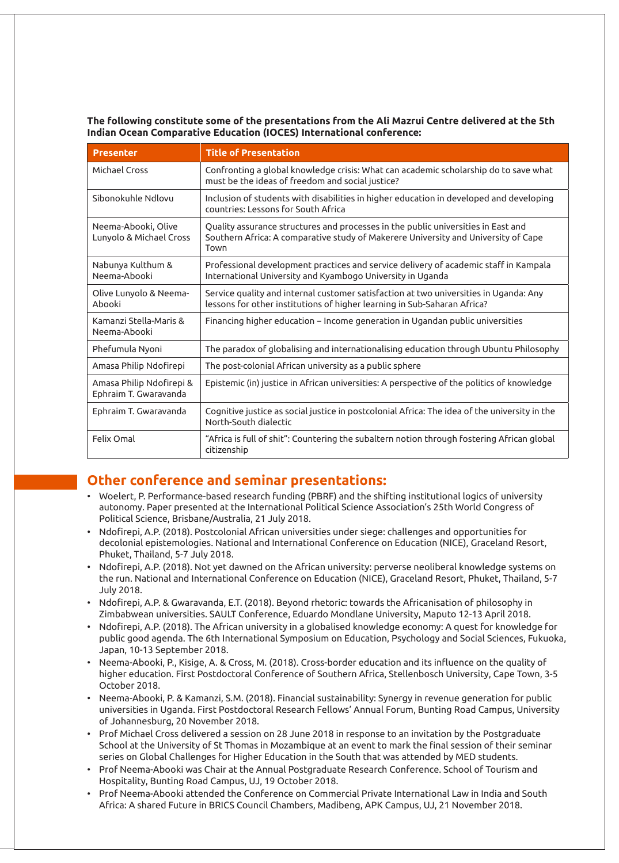**The following constitute some of the presentations from the Ali Mazrui Centre delivered at the 5th Indian Ocean Comparative Education (IOCES) International conference:**

| <b>Presenter</b>                                  | <b>Title of Presentation</b>                                                                                                                                                    |
|---------------------------------------------------|---------------------------------------------------------------------------------------------------------------------------------------------------------------------------------|
| Michael Cross                                     | Confronting a global knowledge crisis: What can academic scholarship do to save what<br>must be the ideas of freedom and social justice?                                        |
| Sibonokuhle Ndlovu                                | Inclusion of students with disabilities in higher education in developed and developing<br>countries: Lessons for South Africa                                                  |
| Neema-Abooki, Olive<br>Lunyolo & Michael Cross    | Quality assurance structures and processes in the public universities in East and<br>Southern Africa: A comparative study of Makerere University and University of Cape<br>Town |
| Nabunya Kulthum &<br>Neema-Abooki                 | Professional development practices and service delivery of academic staff in Kampala<br>International University and Kyambogo University in Uganda                              |
| Olive Lunyolo & Neema-<br>Abooki                  | Service quality and internal customer satisfaction at two universities in Uganda: Any<br>lessons for other institutions of higher learning in Sub-Saharan Africa?               |
| Kamanzi Stella-Maris &<br>Neema-Abooki            | Financing higher education – Income generation in Ugandan public universities                                                                                                   |
| Phefumula Nyoni                                   | The paradox of globalising and internationalising education through Ubuntu Philosophy                                                                                           |
| Amasa Philip Ndofirepi                            | The post-colonial African university as a public sphere                                                                                                                         |
| Amasa Philip Ndofirepi &<br>Ephraim T. Gwaravanda | Epistemic (in) justice in African universities: A perspective of the politics of knowledge                                                                                      |
| Ephraim T. Gwaravanda                             | Cognitive justice as social justice in postcolonial Africa: The idea of the university in the<br>North-South dialectic                                                          |
| Felix Omal                                        | "Africa is full of shit": Countering the subaltern notion through fostering African global<br>citizenship                                                                       |

### **Other conference and seminar presentations:**

- Woelert, P. Performance-based research funding (PBRF) and the shifting institutional logics of university autonomy. Paper presented at the International Political Science Association's 25th World Congress of Political Science, Brisbane/Australia, 21 July 2018.
- Ndofirepi, A.P. (2018). Postcolonial African universities under siege: challenges and opportunities for decolonial epistemologies. National and International Conference on Education (NICE), Graceland Resort, Phuket, Thailand, 5-7 July 2018.
- Ndofirepi, A.P. (2018). Not yet dawned on the African university: perverse neoliberal knowledge systems on the run. National and International Conference on Education (NICE), Graceland Resort, Phuket, Thailand, 5-7 July 2018.
- Ndofirepi, A.P. & Gwaravanda, E.T. (2018). Beyond rhetoric: towards the Africanisation of philosophy in Zimbabwean universities. SAULT Conference, Eduardo Mondlane University, Maputo 12-13 April 2018.
- Ndofirepi, A.P. (2018). The African university in a globalised knowledge economy: A quest for knowledge for public good agenda. The 6th International Symposium on Education, Psychology and Social Sciences, Fukuoka, Japan, 10-13 September 2018.
- Neema-Abooki, P., Kisige, A. & Cross, M. (2018). Cross-border education and its influence on the quality of higher education. First Postdoctoral Conference of Southern Africa, Stellenbosch University, Cape Town, 3-5 October 2018.
- Neema-Abooki, P. & Kamanzi, S.M. (2018). Financial sustainability: Synergy in revenue generation for public universities in Uganda. First Postdoctoral Research Fellows' Annual Forum, Bunting Road Campus, University of Johannesburg, 20 November 2018.
- Prof Michael Cross delivered a session on 28 June 2018 in response to an invitation by the Postgraduate School at the University of St Thomas in Mozambique at an event to mark the final session of their seminar series on Global Challenges for Higher Education in the South that was attended by MED students.
- Prof Neema-Abooki was Chair at the Annual Postgraduate Research Conference. School of Tourism and Hospitality, Bunting Road Campus, UJ, 19 October 2018.
- Prof Neema-Abooki attended the Conference on Commercial Private International Law in India and South Africa: A shared Future in BRICS Council Chambers, Madibeng, APK Campus, UJ, 21 November 2018.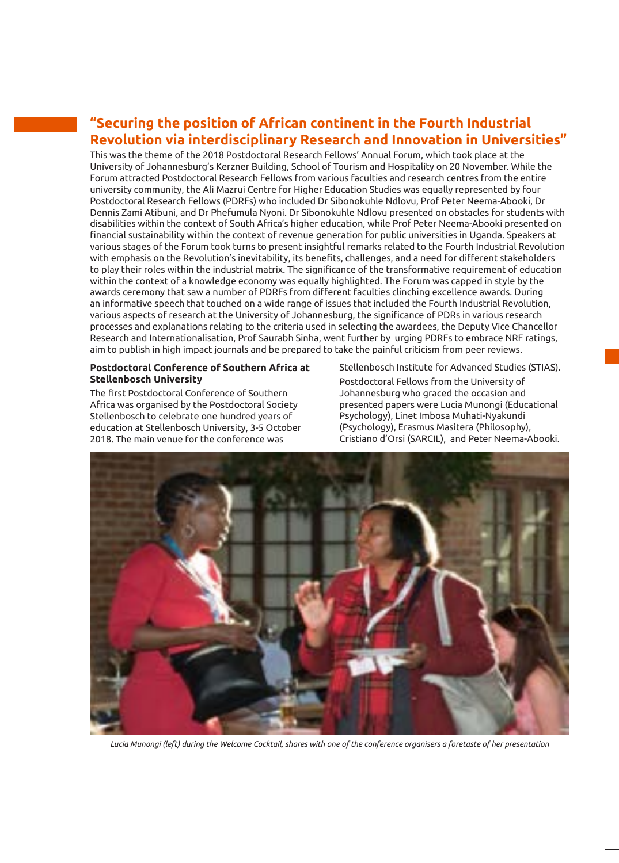### **"Securing the position of African continent in the Fourth Industrial Revolution via interdisciplinary Research and Innovation in Universities"**

This was the theme of the 2018 Postdoctoral Research Fellows' Annual Forum, which took place at the University of Johannesburg's Kerzner Building, School of Tourism and Hospitality on 20 November. While the Forum attracted Postdoctoral Research Fellows from various faculties and research centres from the entire university community, the Ali Mazrui Centre for Higher Education Studies was equally represented by four Postdoctoral Research Fellows (PDRFs) who included Dr Sibonokuhle Ndlovu, Prof Peter Neema-Abooki, Dr Dennis Zami Atibuni, and Dr Phefumula Nyoni. Dr Sibonokuhle Ndlovu presented on obstacles for students with disabilities within the context of South Africa's higher education, while Prof Peter Neema-Abooki presented on financial sustainability within the context of revenue generation for public universities in Uganda. Speakers at various stages of the Forum took turns to present insightful remarks related to the Fourth Industrial Revolution with emphasis on the Revolution's inevitability, its benefits, challenges, and a need for different stakeholders to play their roles within the industrial matrix. The significance of the transformative requirement of education within the context of a knowledge economy was equally highlighted. The Forum was capped in style by the awards ceremony that saw a number of PDRFs from different faculties clinching excellence awards. During an informative speech that touched on a wide range of issues that included the Fourth Industrial Revolution, various aspects of research at the University of Johannesburg, the significance of PDRs in various research processes and explanations relating to the criteria used in selecting the awardees, the Deputy Vice Chancellor Research and Internationalisation, Prof Saurabh Sinha, went further by urging PDRFs to embrace NRF ratings, aim to publish in high impact journals and be prepared to take the painful criticism from peer reviews.

#### **Postdoctoral Conference of Southern Africa at Stellenbosch University**

The first Postdoctoral Conference of Southern Africa was organised by the Postdoctoral Society Stellenbosch to celebrate one hundred years of education at Stellenbosch University, 3-5 October 2018. The main venue for the conference was

Stellenbosch Institute for Advanced Studies (STIAS). Postdoctoral Fellows from the University of Johannesburg who graced the occasion and presented papers were Lucia Munongi (Educational Psychology), Linet Imbosa Muhati-Nyakundi (Psychology), Erasmus Masitera (Philosophy), Cristiano d'Orsi (SARCIL), and Peter Neema-Abooki.



*Lucia Munongi (left) during the Welcome Cocktail, shares with one of the conference organisers a foretaste of her presentation*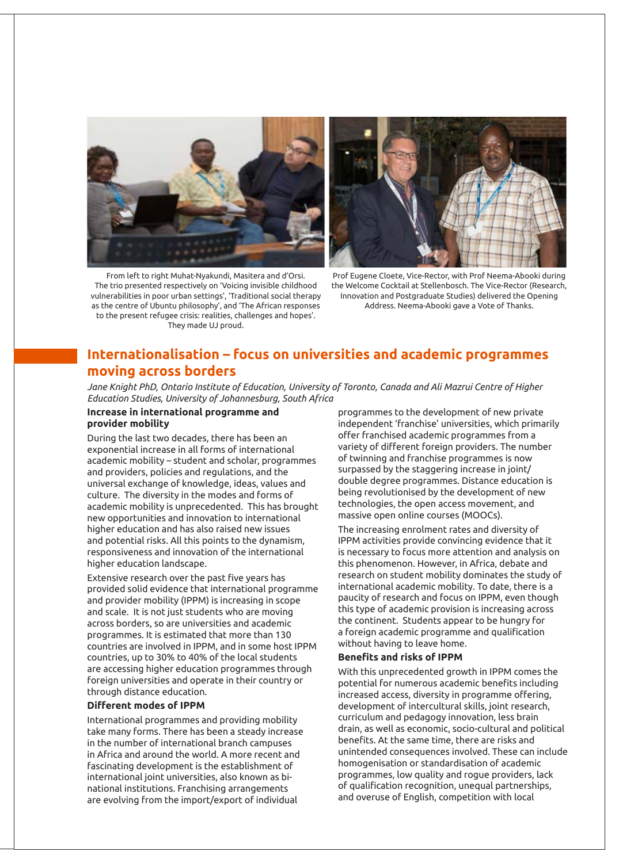



From left to right Muhat-Nyakundi, Masitera and d'Orsi. The trio presented respectively on 'Voicing invisible childhood vulnerabilities in poor urban settings', 'Traditional social therapy as the centre of Ubuntu philosophy', and 'The African responses to the present refugee crisis: realities, challenges and hopes'. They made UJ proud.

Prof Eugene Cloete, Vice-Rector, with Prof Neema-Abooki during the Welcome Cocktail at Stellenbosch. The Vice-Rector (Research, Innovation and Postgraduate Studies) delivered the Opening Address. Neema-Abooki gave a Vote of Thanks.

### **Internationalisation – focus on universities and academic programmes moving across borders**

*Jane Knight PhD, Ontario Institute of Education, University of Toronto, Canada and Ali Mazrui Centre of Higher Education Studies, University of Johannesburg, South Africa*

#### **Increase in international programme and provider mobility**

During the last two decades, there has been an exponential increase in all forms of international academic mobility – student and scholar, programmes and providers, policies and regulations, and the universal exchange of knowledge, ideas, values and culture. The diversity in the modes and forms of academic mobility is unprecedented. This has brought new opportunities and innovation to international higher education and has also raised new issues and potential risks. All this points to the dynamism, responsiveness and innovation of the international higher education landscape.

Extensive research over the past five years has provided solid evidence that international programme and provider mobility (IPPM) is increasing in scope and scale. It is not just students who are moving across borders, so are universities and academic programmes. It is estimated that more than 130 countries are involved in IPPM, and in some host IPPM countries, up to 30% to 40% of the local students are accessing higher education programmes through foreign universities and operate in their country or through distance education.

#### **Different modes of IPPM**

International programmes and providing mobility take many forms. There has been a steady increase in the number of international branch campuses in Africa and around the world. A more recent and fascinating development is the establishment of international joint universities, also known as binational institutions. Franchising arrangements are evolving from the import/export of individual

programmes to the development of new private independent 'franchise' universities, which primarily offer franchised academic programmes from a variety of different foreign providers. The number of twinning and franchise programmes is now surpassed by the staggering increase in joint/ double degree programmes. Distance education is being revolutionised by the development of new technologies, the open access movement, and massive open online courses (MOOCs).

The increasing enrolment rates and diversity of IPPM activities provide convincing evidence that it is necessary to focus more attention and analysis on this phenomenon. However, in Africa, debate and research on student mobility dominates the study of international academic mobility. To date, there is a paucity of research and focus on IPPM, even though this type of academic provision is increasing across the continent. Students appear to be hungry for a foreign academic programme and qualification without having to leave home.

#### **Benefits and risks of IPPM**

With this unprecedented growth in IPPM comes the potential for numerous academic benefits including increased access, diversity in programme offering, development of intercultural skills, joint research, curriculum and pedagogy innovation, less brain drain, as well as economic, socio-cultural and political benefits. At the same time, there are risks and unintended consequences involved. These can include homogenisation or standardisation of academic programmes, low quality and rogue providers, lack of qualification recognition, unequal partnerships, and overuse of English, competition with local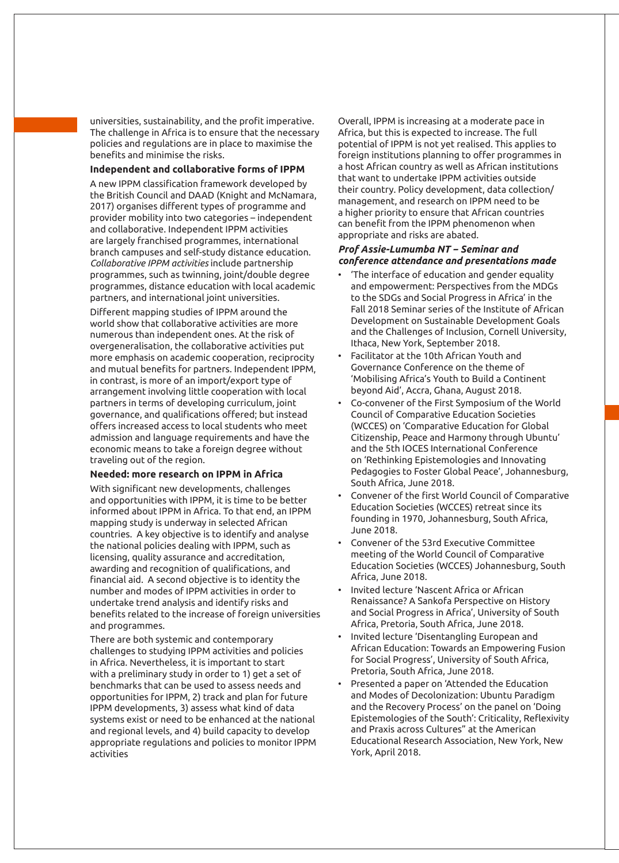universities, sustainability, and the profit imperative. The challenge in Africa is to ensure that the necessary policies and regulations are in place to maximise the benefits and minimise the risks.

#### **Independent and collaborative forms of IPPM**

A new IPPM classification framework developed by the British Council and DAAD (Knight and McNamara, 2017) organises different types of programme and provider mobility into two categories – independent and collaborative. Independent IPPM activities are largely franchised programmes, international branch campuses and self-study distance education. *Collaborative IPPM activities* include partnership programmes, such as twinning, joint/double degree programmes, distance education with local academic partners, and international joint universities.

Different mapping studies of IPPM around the world show that collaborative activities are more numerous than independent ones. At the risk of overgeneralisation, the collaborative activities put more emphasis on academic cooperation, reciprocity and mutual benefits for partners. Independent IPPM, in contrast, is more of an import/export type of arrangement involving little cooperation with local partners in terms of developing curriculum, joint governance, and qualifications offered; but instead offers increased access to local students who meet admission and language requirements and have the economic means to take a foreign degree without traveling out of the region.

#### **Needed: more research on IPPM in Africa**

With significant new developments, challenges and opportunities with IPPM, it is time to be better informed about IPPM in Africa. To that end, an IPPM mapping study is underway in selected African countries. A key objective is to identify and analyse the national policies dealing with IPPM, such as licensing, quality assurance and accreditation, awarding and recognition of qualifications, and financial aid. A second objective is to identity the number and modes of IPPM activities in order to undertake trend analysis and identify risks and benefits related to the increase of foreign universities and programmes.

There are both systemic and contemporary challenges to studying IPPM activities and policies in Africa. Nevertheless, it is important to start with a preliminary study in order to 1) get a set of benchmarks that can be used to assess needs and opportunities for IPPM, 2) track and plan for future IPPM developments, 3) assess what kind of data systems exist or need to be enhanced at the national and regional levels, and 4) build capacity to develop appropriate regulations and policies to monitor IPPM activities

Overall, IPPM is increasing at a moderate pace in Africa, but this is expected to increase. The full potential of IPPM is not yet realised. This applies to foreign institutions planning to offer programmes in a host African country as well as African institutions that want to undertake IPPM activities outside their country. Policy development, data collection/ management, and research on IPPM need to be a higher priority to ensure that African countries can benefit from the IPPM phenomenon when appropriate and risks are abated.

#### *Prof Assie-Lumumba NT − Seminar and conference attendance and presentations made*

- 'The interface of education and gender equality and empowerment: Perspectives from the MDGs to the SDGs and Social Progress in Africa' in the Fall 2018 Seminar series of the Institute of African Development on Sustainable Development Goals and the Challenges of Inclusion, Cornell University, Ithaca, New York, September 2018.
- Facilitator at the 10th African Youth and Governance Conference on the theme of 'Mobilising Africa's Youth to Build a Continent beyond Aid', Accra, Ghana, August 2018.
- Co-convener of the First Symposium of the World Council of Comparative Education Societies (WCCES) on 'Comparative Education for Global Citizenship, Peace and Harmony through Ubuntu' and the 5th IOCES International Conference on 'Rethinking Epistemologies and Innovating Pedagogies to Foster Global Peace', Johannesburg, South Africa, June 2018.
- Convener of the first World Council of Comparative Education Societies (WCCES) retreat since its founding in 1970, Johannesburg, South Africa, June 2018.
- Convener of the 53rd Executive Committee meeting of the World Council of Comparative Education Societies (WCCES) Johannesburg, South Africa, June 2018.
- Invited lecture 'Nascent Africa or African Renaissance? A Sankofa Perspective on History and Social Progress in Africa', University of South Africa, Pretoria, South Africa, June 2018.
- Invited lecture 'Disentangling European and African Education: Towards an Empowering Fusion for Social Progress', University of South Africa, Pretoria, South Africa, June 2018.
- Presented a paper on 'Attended the Education and Modes of Decolonization: Ubuntu Paradigm and the Recovery Process' on the panel on 'Doing Epistemologies of the South': Criticality, Reflexivity and Praxis across Cultures" at the American Educational Research Association, New York, New York, April 2018.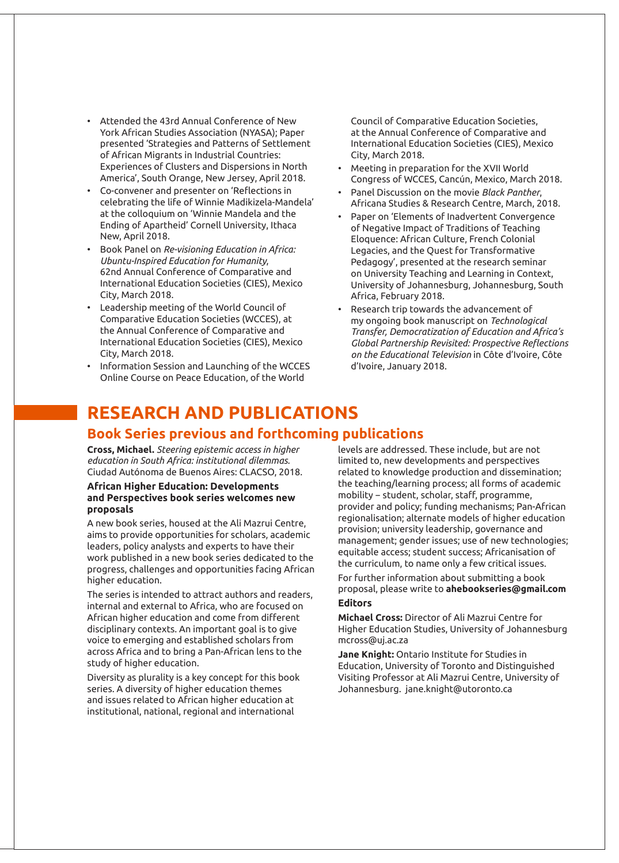- Attended the 43rd Annual Conference of New York African Studies Association (NYASA); Paper presented 'Strategies and Patterns of Settlement of African Migrants in Industrial Countries: Experiences of Clusters and Dispersions in North America', South Orange, New Jersey, April 2018.
- Co-convener and presenter on 'Reflections in celebrating the life of Winnie Madikizela-Mandela' at the colloquium on 'Winnie Mandela and the Ending of Apartheid' Cornell University, Ithaca New, April 2018.
- Book Panel on *Re-visioning Education in Africa: Ubuntu-Inspired Education for Humanity*, 62nd Annual Conference of Comparative and International Education Societies (CIES), Mexico City, March 2018.
- Leadership meeting of the World Council of Comparative Education Societies (WCCES), at the Annual Conference of Comparative and International Education Societies (CIES), Mexico City, March 2018.
- Information Session and Launching of the WCCES Online Course on Peace Education, of the World

Council of Comparative Education Societies, at the Annual Conference of Comparative and International Education Societies (CIES), Mexico City, March 2018.

- Meeting in preparation for the XVII World Congress of WCCES, Cancún, Mexico, March 2018.
- Panel Discussion on the movie *Black Panther*, Africana Studies & Research Centre, March, 2018.
- Paper on 'Elements of Inadvertent Convergence of Negative Impact of Traditions of Teaching Eloquence: African Culture, French Colonial Legacies, and the Quest for Transformative Pedagogy', presented at the research seminar on University Teaching and Learning in Context, University of Johannesburg, Johannesburg, South Africa, February 2018.
- Research trip towards the advancement of my ongoing book manuscript on *Technological Transfer, Democratization of Education and Africa's Global Partnership Revisited: Prospective Reflections on the Educational Television* in Côte d'Ivoire, Côte d'Ivoire, January 2018.

# **RESEARCH AND PUBLICATIONS**

### **Book Series previous and forthcoming publications**

**Cross, Michael.** *Steering epistemic access in higher education in South Africa: institutional dilemmas.*  Ciudad Autónoma de Buenos Aires: CLACSO, 2018.

#### **African Higher Education: Developments and Perspectives book series welcomes new proposals**

A new book series, housed at the Ali Mazrui Centre, aims to provide opportunities for scholars, academic leaders, policy analysts and experts to have their work published in a new book series dedicated to the progress, challenges and opportunities facing African higher education.

The series is intended to attract authors and readers, internal and external to Africa, who are focused on African higher education and come from different disciplinary contexts. An important goal is to give voice to emerging and established scholars from across Africa and to bring a Pan-African lens to the study of higher education.

Diversity as plurality is a key concept for this book series. A diversity of higher education themes and issues related to African higher education at institutional, national, regional and international

levels are addressed. These include, but are not limited to, new developments and perspectives related to knowledge production and dissemination; the teaching/learning process; all forms of academic mobility − student, scholar, staff, programme, provider and policy; funding mechanisms; Pan-African regionalisation; alternate models of higher education provision; university leadership, governance and management; gender issues; use of new technologies; equitable access; student success; Africanisation of the curriculum, to name only a few critical issues. For further information about submitting a book proposal, please write to **ahebookseries@gmail.com**

#### **Editors**

**Michael Cross:** Director of Ali Mazrui Centre for Higher Education Studies, University of Johannesburg mcross@uj.ac.za

**Jane Knight:** Ontario Institute for Studies in Education, University of Toronto and Distinguished Visiting Professor at Ali Mazrui Centre, University of Johannesburg. jane.knight@utoronto.ca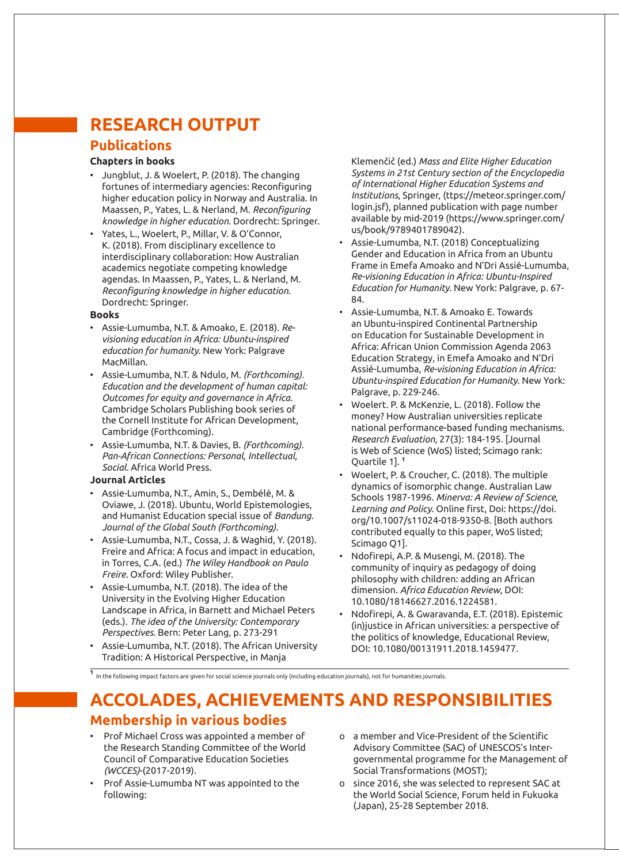# **RESEARCH OUTPUT**

### **Publications**

#### **Chapters in books**

- Jungblut, J. & Woelert, P. (2018). The changing fortunes of intermediary agencies: Reconfiguring higher education policy in Norway and Australia. In Maassen, P., Yates, L. & Nerland, M. *Reconfiguring knowledge in higher education.* Dordrecht: Springer.
- Yates, L., Woelert, P., Millar, V. & O'Connor, K. (2018). From disciplinary excellence to interdisciplinary collaboration: How Australian academics negotiate competing knowledge agendas. In Maassen, P., Yates, L. & Nerland, M. *Reconfiguring knowledge in higher education*. Dordrecht: Springer.

#### **Books**

- Assie-Lumumba, N.T. & Amoako, E. (2018). *Revisioning education in Africa: Ubuntu-inspired education for humanity.* New York: Palgrave MacMillan.
- Assie-Lumumba, N.T. & Ndulo, M. *(Forthcoming). Education and the development of human capital: Outcomes for equity and governance in Africa.*  Cambridge Scholars Publishing book series of the Cornell Institute for African Development, Cambridge (Forthcoming).
- Assie-Lumumba, N.T. & Davies, B. *(Forthcoming). Pan-African Connections: Personal, Intellectual, Social.* Africa World Press.

#### **Journal Articles**

- Assie-Lumumba, N.T., Amin, S., Dembélé, M. & Oviawe, J. (2018). Ubuntu, World Epistemologies, and Humanist Education special issue of *Bandung. Journal of the Global South (Forthcoming).*
- Assie-Lumumba, N.T., Cossa, J. & Waghid, Y. (2018). Freire and Africa: A focus and impact in education, in Torres, C.A. (ed.) *The Wiley Handbook on Paulo Freire.* Oxford: Wiley Publisher.
- Assie-Lumumba, N.T. (2018). The idea of the University in the Evolving Higher Education Landscape in Africa, in Barnett and Michael Peters (eds.). *The idea of the University: Contemporary Perspectives.* Bern: Peter Lang, p. 273-291
- Assie-Lumumba, N.T. (2018). The African University Tradition: A Historical Perspective, in Manja

Klemenčič (ed.) *Mass and Elite Higher Education Systems in 21st Century section of the Encyclopedia of International Higher Education Systems and Institutions*, Springer, (ttps://meteor.springer.com/ login.jsf), planned publication with page number available by mid-2019 (https://www.springer.com/ us/book/9789401789042).

- Assie-Lumumba, N.T. (2018) Conceptualizing Gender and Education in Africa from an Ubuntu Frame in Emefa Amoako and N'Dri Assié-Lumumba, *Re-visioning Education in Africa: Ubuntu-Inspired Education for Humanity.* New York: Palgrave, p. 67- 84.
- Assie-Lumumba, N.T. & Amoako E. Towards an Ubuntu-inspired Continental Partnership on Education for Sustainable Development in Africa: African Union Commission Agenda 2063 Education Strategy, in Emefa Amoako and N'Dri Assié-Lumumba, *Re-visioning Education in Africa: Ubuntu-inspired Education for Humanity.* New York: Palgrave, p. 229-246.
- Woelert. P. & McKenzie, L. (2018). Follow the money? How Australian universities replicate national performance-based funding mechanisms. *Research Evaluation*, 27(3): 184-195. [Journal is Web of Science (WoS) listed; Scimago rank: Quartile 1]. **<sup>1</sup>**
- Woelert, P. & Croucher, C. (2018). The multiple dynamics of isomorphic change. Australian Law Schools 1987-1996. *Minerva: A Review of Science, Learning and Policy*. Online first, Doi: https://doi. org/10.1007/s11024-018-9350-8. [Both authors contributed equally to this paper, WoS listed; Scimago Q1].
- Ndofirepi, A.P. & Musengi, M. (2018). The community of inquiry as pedagogy of doing philosophy with children: adding an African dimension. *Africa Education Review*, DOI: 10.1080/18146627.2016.1224581.
- Ndofirepi, A. & Gwaravanda, E.T. (2018). Epistemic (in)justice in African universities: a perspective of the politics of knowledge, Educational Review, DOI: 10.1080/00131911.2018.1459477.

**<sup>1</sup>**In the following impact factors are given for social science journals only (including education journals), not for humanities journals.

# **ACCOLADES, ACHIEVEMENTS AND RESPONSIBILITIES Membership in various bodies**

- Prof Michael Cross was appointed a member of the Research Standing Committee of the World Council of Comparative Education Societies *(WCCES)*-(2017-2019).
- Prof Assie-Lumumba NT was appointed to the following:
- o a member and Vice-President of the Scientific Advisory Committee (SAC) of UNESCOS's Intergovernmental programme for the Management of Social Transformations (MOST);
- o since 2016, she was selected to represent SAC at the World Social Science, Forum held in Fukuoka (Japan), 25-28 September 2018.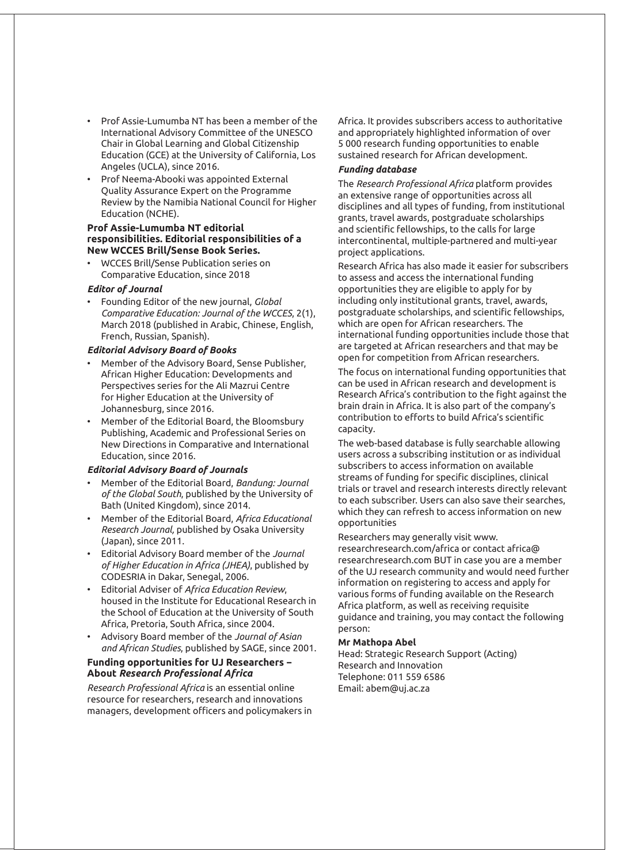- Prof Assie-Lumumba NT has been a member of the International Advisory Committee of the UNESCO Chair in Global Learning and Global Citizenship Education (GCE) at the University of California, Los Angeles (UCLA), since 2016.
- Prof Neema-Abooki was appointed External Quality Assurance Expert on the Programme Review by the Namibia National Council for Higher Education (NCHE).

#### **Prof Assie-Lumumba NT editorial responsibilities. Editorial responsibilities of a New WCCES Brill/Sense Book Series.**

• WCCES Brill/Sense Publication series on Comparative Education, since 2018

#### *Editor of Journal*

• Founding Editor of the new journal, *Global Comparative Education: Journal of the WCCES*, 2(1), March 2018 (published in Arabic, Chinese, English, French, Russian, Spanish).

#### *Editorial Advisory Board of Books*

- Member of the Advisory Board, Sense Publisher, African Higher Education: Developments and Perspectives series for the Ali Mazrui Centre for Higher Education at the University of Johannesburg, since 2016.
- Member of the Editorial Board, the Bloomsbury Publishing, Academic and Professional Series on New Directions in Comparative and International Education, since 2016.

#### *Editorial Advisory Board of Journals*

- Member of the Editorial Board, *Bandung: Journal of the Global South*, published by the University of Bath (United Kingdom), since 2014.
- Member of the Editorial Board, *Africa Educational Research Journal,* published by Osaka University (Japan), since 2011.
- Editorial Advisory Board member of the *Journal of Higher Education in Africa (JHEA)*, published by CODESRIA in Dakar, Senegal, 2006.
- Editorial Adviser of *Africa Education Review*, housed in the Institute for Educational Research in the School of Education at the University of South Africa, Pretoria, South Africa, since 2004.
- Advisory Board member of the *Journal of Asian and African Studies*, published by SAGE, since 2001.

#### **Funding opportunities for UJ Researchers − About** *Research Professional Africa*

*Research Professional Africa* is an essential online resource for researchers, research and innovations managers, development officers and policymakers in Africa. It provides subscribers access to authoritative and appropriately highlighted information of over 5 000 research funding opportunities to enable sustained research for African development.

#### *Funding database*

The *Research Professional Africa* platform provides an extensive range of opportunities across all disciplines and all types of funding, from institutional grants, travel awards, postgraduate scholarships and scientific fellowships, to the calls for large intercontinental, multiple-partnered and multi-year project applications.

Research Africa has also made it easier for subscribers to assess and access the international funding opportunities they are eligible to apply for by including only institutional grants, travel, awards, postgraduate scholarships, and scientific fellowships, which are open for African researchers. The international funding opportunities include those that are targeted at African researchers and that may be open for competition from African researchers.

The focus on international funding opportunities that can be used in African research and development is Research Africa's contribution to the fight against the brain drain in Africa. It is also part of the company's contribution to efforts to build Africa's scientific capacity.

The web-based database is fully searchable allowing users across a subscribing institution or as individual subscribers to access information on available streams of funding for specific disciplines, clinical trials or travel and research interests directly relevant to each subscriber. Users can also save their searches, which they can refresh to access information on new opportunities

#### Researchers may generally visit www.

researchresearch.com/africa or contact africa@ researchresearch.com BUT in case you are a member of the UJ research community and would need further information on registering to access and apply for various forms of funding available on the Research Africa platform, as well as receiving requisite guidance and training, you may contact the following person:

#### **Mr Mathopa Abel**

Head: Strategic Research Support (Acting) Research and Innovation Telephone: 011 559 6586 Email: abem@uj.ac.za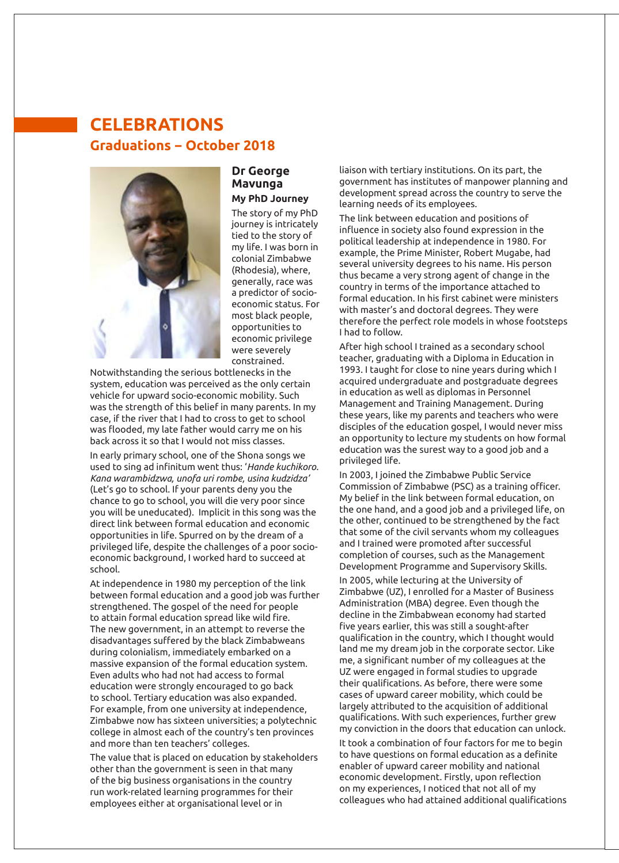# **CELEBRATIONS Graduations − October 2018**



#### **Dr George Mavunga My PhD Journey**

The story of my PhD journey is intricately tied to the story of my life. I was born in colonial Zimbabwe (Rhodesia), where, generally, race was a predictor of socioeconomic status. For most black people, opportunities to economic privilege were severely constrained.

Notwithstanding the serious bottlenecks in the system, education was perceived as the only certain vehicle for upward socio-economic mobility. Such was the strength of this belief in many parents. In my case, if the river that I had to cross to get to school was flooded, my late father would carry me on his back across it so that I would not miss classes.

In early primary school, one of the Shona songs we used to sing ad infinitum went thus: '*Hande kuchikoro. Kana warambidzwa, unofa uri rombe, usina kudzidza'*  (Let's go to school. If your parents deny you the chance to go to school, you will die very poor since you will be uneducated). Implicit in this song was the direct link between formal education and economic opportunities in life. Spurred on by the dream of a privileged life, despite the challenges of a poor socioeconomic background, I worked hard to succeed at school.

At independence in 1980 my perception of the link between formal education and a good job was further strengthened. The gospel of the need for people to attain formal education spread like wild fire. The new government, in an attempt to reverse the disadvantages suffered by the black Zimbabweans during colonialism, immediately embarked on a massive expansion of the formal education system. Even adults who had not had access to formal education were strongly encouraged to go back to school. Tertiary education was also expanded. For example, from one university at independence, Zimbabwe now has sixteen universities; a polytechnic college in almost each of the country's ten provinces and more than ten teachers' colleges.

The value that is placed on education by stakeholders other than the government is seen in that many of the big business organisations in the country run work-related learning programmes for their employees either at organisational level or in

liaison with tertiary institutions. On its part, the government has institutes of manpower planning and development spread across the country to serve the learning needs of its employees.

The link between education and positions of influence in society also found expression in the political leadership at independence in 1980. For example, the Prime Minister, Robert Mugabe, had several university degrees to his name. His person thus became a very strong agent of change in the country in terms of the importance attached to formal education. In his first cabinet were ministers with master's and doctoral degrees. They were therefore the perfect role models in whose footsteps I had to follow.

After high school I trained as a secondary school teacher, graduating with a Diploma in Education in 1993. I taught for close to nine years during which I acquired undergraduate and postgraduate degrees in education as well as diplomas in Personnel Management and Training Management. During these years, like my parents and teachers who were disciples of the education gospel, I would never miss an opportunity to lecture my students on how formal education was the surest way to a good job and a privileged life.

In 2003, I joined the Zimbabwe Public Service Commission of Zimbabwe (PSC) as a training officer. My belief in the link between formal education, on the one hand, and a good job and a privileged life, on the other, continued to be strengthened by the fact that some of the civil servants whom my colleagues and I trained were promoted after successful completion of courses, such as the Management Development Programme and Supervisory Skills.

In 2005, while lecturing at the University of Zimbabwe (UZ), I enrolled for a Master of Business Administration (MBA) degree. Even though the decline in the Zimbabwean economy had started five years earlier, this was still a sought-after qualification in the country, which I thought would land me my dream job in the corporate sector. Like me, a significant number of my colleagues at the UZ were engaged in formal studies to upgrade their qualifications. As before, there were some cases of upward career mobility, which could be largely attributed to the acquisition of additional qualifications. With such experiences, further grew my conviction in the doors that education can unlock.

*Great entertainment by Bongani graced the conference* on my experiences, I noticed that not all of my It took a combination of four factors for me to begin to have questions on formal education as a definite enabler of upward career mobility and national economic development. Firstly, upon reflection colleagues who had attained additional qualifications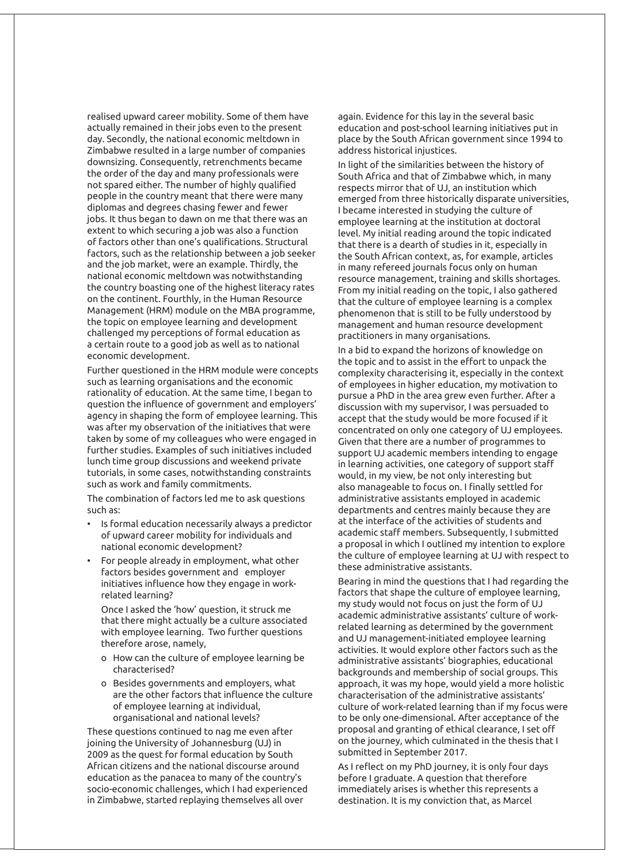realised upward career mobility. Some of them have actually remained in their jobs even to the present day. Secondly, the national economic meltdown in Zimbabwe resulted in a large number of companies downsizing. Consequently, retrenchments became the order of the day and many professionals were not spared either. The number of highly qualified people in the country meant that there were many diplomas and degrees chasing fewer and fewer jobs. It thus began to dawn on me that there was an extent to which securing a job was also a function of factors other than one's qualifications. Structural factors, such as the relationship between a job seeker and the job market, were an example. Thirdly, the national economic meltdown was notwithstanding the country boasting one of the highest literacy rates on the continent. Fourthly, in the Human Resource Management (HRM) module on the MBA programme, the topic on employee learning and development challenged my perceptions of formal education as a certain route to a good job as well as to national economic development.

Further questioned in the HRM module were concepts such as learning organisations and the economic rationality of education. At the same time, I began to question the influence of government and employers' agency in shaping the form of employee learning. This was after my observation of the initiatives that were taken by some of my colleagues who were engaged in further studies. Examples of such initiatives included lunch time group discussions and weekend private tutorials, in some cases, notwithstanding constraints such as work and family commitments.

The combination of factors led me to ask questions such as:

- Is formal education necessarily always a predictor of upward career mobility for individuals and national economic development?
- For people already in employment, what other factors besides government and employer initiatives influence how they engage in workrelated learning?

Once I asked the 'how' question, it struck me that there might actually be a culture associated with employee learning. Two further questions therefore arose, namely,

- o How can the culture of employee learning be characterised?
- o Besides governments and employers, what are the other factors that influence the culture of employee learning at individual, organisational and national levels?

These questions continued to nag me even after joining the University of Johannesburg (UJ) in 2009 as the quest for formal education by South African citizens and the national discourse around education as the panacea to many of the country's socio-economic challenges, which I had experienced in Zimbabwe, started replaying themselves all over

again. Evidence for this lay in the several basic education and post-school learning initiatives put in place by the South African government since 1994 to address historical injustices.

In light of the similarities between the history of South Africa and that of Zimbabwe which, in many respects mirror that of UJ, an institution which emerged from three historically disparate universities, I became interested in studying the culture of employee learning at the institution at doctoral level. My initial reading around the topic indicated that there is a dearth of studies in it, especially in the South African context, as, for example, articles in many refereed journals focus only on human resource management, training and skills shortages. From my initial reading on the topic, I also gathered that the culture of employee learning is a complex phenomenon that is still to be fully understood by management and human resource development practitioners in many organisations.

In a bid to expand the horizons of knowledge on the topic and to assist in the effort to unpack the complexity characterising it, especially in the context of employees in higher education, my motivation to pursue a PhD in the area grew even further. After a discussion with my supervisor, I was persuaded to accept that the study would be more focused if it concentrated on only one category of UJ employees. Given that there are a number of programmes to support UJ academic members intending to engage in learning activities, one category of support staff would, in my view, be not only interesting but also manageable to focus on. I finally settled for administrative assistants employed in academic departments and centres mainly because they are at the interface of the activities of students and academic staff members. Subsequently, I submitted a proposal in which I outlined my intention to explore the culture of employee learning at UJ with respect to these administrative assistants.

Bearing in mind the questions that I had regarding the factors that shape the culture of employee learning, my study would not focus on just the form of UJ academic administrative assistants' culture of workrelated learning as determined by the government and UJ management-initiated employee learning activities. It would explore other factors such as the administrative assistants' biographies, educational backgrounds and membership of social groups. This approach, it was my hope, would yield a more holistic characterisation of the administrative assistants' culture of work-related learning than if my focus were to be only one-dimensional. After acceptance of the proposal and granting of ethical clearance, I set off on the journey, which culminated in the thesis that I submitted in September 2017.

As I reflect on my PhD journey, it is only four days before I graduate. A question that therefore immediately arises is whether this represents a destination. It is my conviction that, as Marcel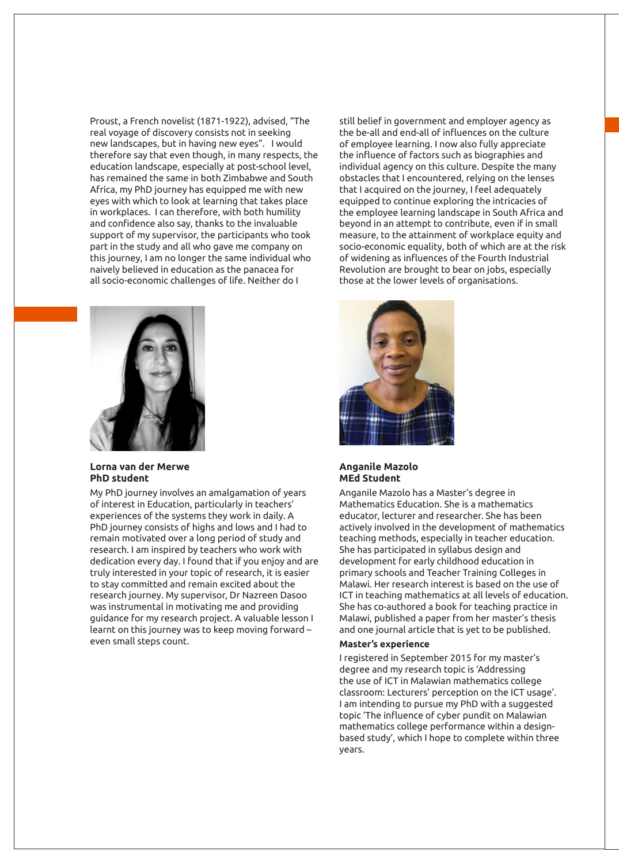Proust, a French novelist (1871-1922), advised, "The real voyage of discovery consists not in seeking new landscapes, but in having new eyes". I would therefore say that even though, in many respects, the education landscape, especially at post-school level, has remained the same in both Zimbabwe and South Africa, my PhD journey has equipped me with new eyes with which to look at learning that takes place in workplaces. I can therefore, with both humility and confidence also say, thanks to the invaluable support of my supervisor, the participants who took part in the study and all who gave me company on this journey, I am no longer the same individual who naively believed in education as the panacea for all socio-economic challenges of life. Neither do I



#### **Lorna van der Merwe PhD student**

My PhD journey involves an amalgamation of years of interest in Education, particularly in teachers' experiences of the systems they work in daily. A PhD journey consists of highs and lows and I had to remain motivated over a long period of study and research. I am inspired by teachers who work with dedication every day. I found that if you enjoy and are truly interested in your topic of research, it is easier to stay committed and remain excited about the research journey. My supervisor, Dr Nazreen Dasoo was instrumental in motivating me and providing guidance for my research project. A valuable lesson I learnt on this journey was to keep moving forward – even small steps count.

still belief in government and employer agency as the be-all and end-all of influences on the culture of employee learning. I now also fully appreciate the influence of factors such as biographies and individual agency on this culture. Despite the many obstacles that I encountered, relying on the lenses that I acquired on the journey, I feel adequately equipped to continue exploring the intricacies of the employee learning landscape in South Africa and beyond in an attempt to contribute, even if in small measure, to the attainment of workplace equity and socio-economic equality, both of which are at the risk of widening as influences of the Fourth Industrial Revolution are brought to bear on jobs, especially those at the lower levels of organisations.



#### **Anganile Mazolo MEd Student**

Anganile Mazolo has a Master's degree in Mathematics Education. She is a mathematics educator, lecturer and researcher. She has been actively involved in the development of mathematics teaching methods, especially in teacher education. She has participated in syllabus design and development for early childhood education in primary schools and Teacher Training Colleges in Malawi. Her research interest is based on the use of ICT in teaching mathematics at all levels of education. She has co-authored a book for teaching practice in Malawi, published a paper from her master's thesis and one journal article that is yet to be published.

#### **Master's experience**

I registered in September 2015 for my master's degree and my research topic is 'Addressing the use of ICT in Malawian mathematics college classroom: Lecturers' perception on the ICT usage'. I am intending to pursue my PhD with a suggested topic 'The influence of cyber pundit on Malawian mathematics college performance within a designbased study', which I hope to complete within three years.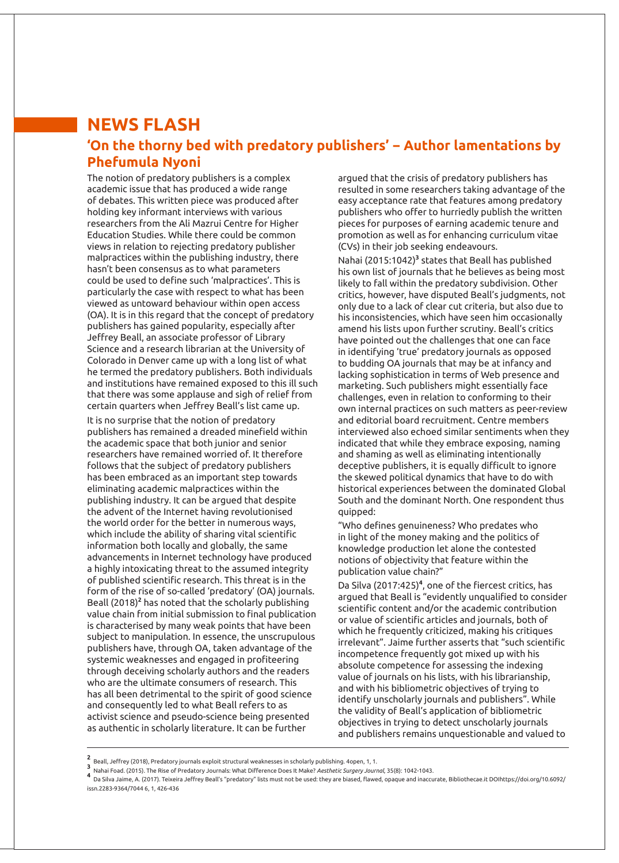### **NEWS FLASH 'On the thorny bed with predatory publishers' − Author lamentations by Phefumula Nyoni**

The notion of predatory publishers is a complex academic issue that has produced a wide range of debates. This written piece was produced after holding key informant interviews with various researchers from the Ali Mazrui Centre for Higher Education Studies. While there could be common views in relation to rejecting predatory publisher malpractices within the publishing industry, there hasn't been consensus as to what parameters could be used to define such 'malpractices'. This is particularly the case with respect to what has been viewed as untoward behaviour within open access (OA). It is in this regard that the concept of predatory publishers has gained popularity, especially after Jeffrey Beall, an associate professor of Library Science and a research librarian at the University of Colorado in Denver came up with a long list of what he termed the predatory publishers. Both individuals and institutions have remained exposed to this ill such that there was some applause and sigh of relief from certain quarters when Jeffrey Beall's list came up.

It is no surprise that the notion of predatory publishers has remained a dreaded minefield within the academic space that both junior and senior researchers have remained worried of. It therefore follows that the subject of predatory publishers has been embraced as an important step towards eliminating academic malpractices within the publishing industry. It can be argued that despite the advent of the Internet having revolutionised the world order for the better in numerous ways, which include the ability of sharing vital scientific information both locally and globally, the same advancements in Internet technology have produced a highly intoxicating threat to the assumed integrity of published scientific research. This threat is in the form of the rise of so-called 'predatory' (OA) journals. Beall (2018)**<sup>2</sup>** has noted that the scholarly publishing value chain from initial submission to final publication is characterised by many weak points that have been subject to manipulation. In essence, the unscrupulous publishers have, through OA, taken advantage of the systemic weaknesses and engaged in profiteering through deceiving scholarly authors and the readers who are the ultimate consumers of research. This has all been detrimental to the spirit of good science and consequently led to what Beall refers to as activist science and pseudo-science being presented as authentic in scholarly literature. It can be further

argued that the crisis of predatory publishers has resulted in some researchers taking advantage of the easy acceptance rate that features among predatory publishers who offer to hurriedly publish the written pieces for purposes of earning academic tenure and promotion as well as for enhancing curriculum vitae (CVs) in their job seeking endeavours.

Nahai (2015:1042)<sup>3</sup> states that Beall has published his own list of journals that he believes as being most likely to fall within the predatory subdivision. Other critics, however, have disputed Beall's judgments, not only due to a lack of clear cut criteria, but also due to his inconsistencies, which have seen him occasionally amend his lists upon further scrutiny. Beall's critics have pointed out the challenges that one can face in identifying 'true' predatory journals as opposed to budding OA journals that may be at infancy and lacking sophistication in terms of Web presence and marketing. Such publishers might essentially face challenges, even in relation to conforming to their own internal practices on such matters as peer-review and editorial board recruitment. Centre members interviewed also echoed similar sentiments when they indicated that while they embrace exposing, naming and shaming as well as eliminating intentionally deceptive publishers, it is equally difficult to ignore the skewed political dynamics that have to do with historical experiences between the dominated Global South and the dominant North. One respondent thus quipped:

"Who defines genuineness? Who predates who in light of the money making and the politics of knowledge production let alone the contested notions of objectivity that feature within the publication value chain?"

Da Silva (2017:425)**<sup>4</sup>** , one of the fiercest critics, has argued that Beall is "evidently unqualified to consider scientific content and/or the academic contribution or value of scientific articles and journals, both of which he frequently criticized, making his critiques irrelevant". Jaime further asserts that "such scientific incompetence frequently got mixed up with his absolute competence for assessing the indexing value of journals on his lists, with his librarianship, and with his bibliometric objectives of trying to identify unscholarly journals and publishers". While the validity of Beall's application of bibliometric objectives in trying to detect unscholarly journals and publishers remains unquestionable and valued to

Emplem University (2018), Predatory journals exploit structural weaknesses in scholarly publishing. 4open, 1, 1.<br>3 Nahai Foad. (2015). The Rise of Predatory Journals: What Difference Does It Make? *Aesthetic Surgery Journa* issn.2283-9364/7044 6, 1, 426-436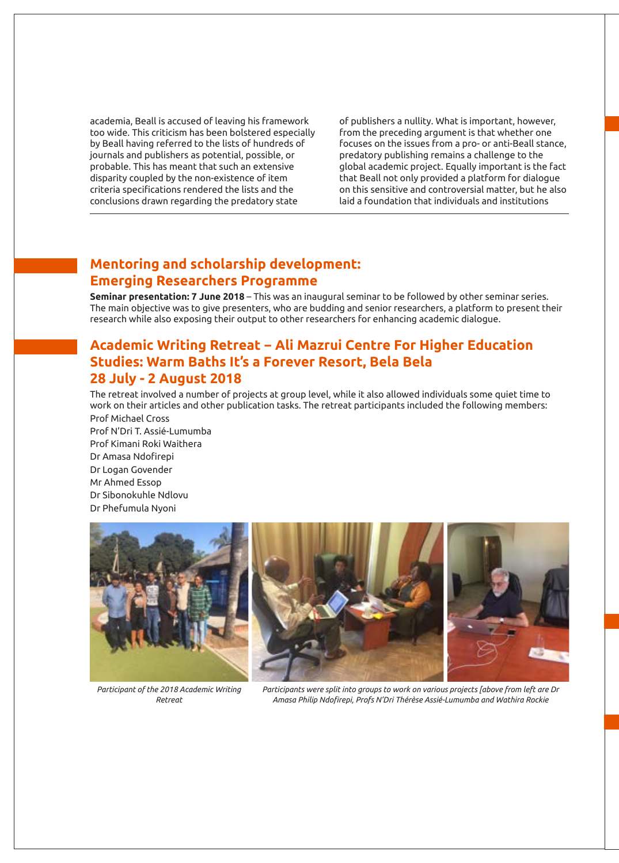academia, Beall is accused of leaving his framework too wide. This criticism has been bolstered especially by Beall having referred to the lists of hundreds of journals and publishers as potential, possible, or probable. This has meant that such an extensive disparity coupled by the non-existence of item criteria specifications rendered the lists and the conclusions drawn regarding the predatory state

of publishers a nullity. What is important, however, from the preceding argument is that whether one focuses on the issues from a pro- or anti-Beall stance, predatory publishing remains a challenge to the global academic project. Equally important is the fact that Beall not only provided a platform for dialogue on this sensitive and controversial matter, but he also laid a foundation that individuals and institutions

### **Mentoring and scholarship development: Emerging Researchers Programme**

**Seminar presentation: 7 June 2018** – This was an inaugural seminar to be followed by other seminar series. The main objective was to give presenters, who are budding and senior researchers, a platform to present their research while also exposing their output to other researchers for enhancing academic dialogue.

### **Academic Writing Retreat − Ali Mazrui Centre For Higher Education Studies: Warm Baths It's a Forever Resort, Bela Bela 28 July - 2 August 2018**

The retreat involved a number of projects at group level, while it also allowed individuals some quiet time to work on their articles and other publication tasks. The retreat participants included the following members:

Prof Michael Cross Prof N'Dri T. Assié-Lumumba Prof Kimani Roki Waithera Dr Amasa Ndofirepi Dr Logan Govender Mr Ahmed Essop Dr Sibonokuhle Ndlovu Dr Phefumula Nyoni



*Participant of the 2018 Academic Writing Retreat*

*Participants were split into groups to work on various projects [above from left are Dr Amasa Philip Ndofirepi, Profs N'Dri Thérèse Assié-Lumumba and Wathira Rockie*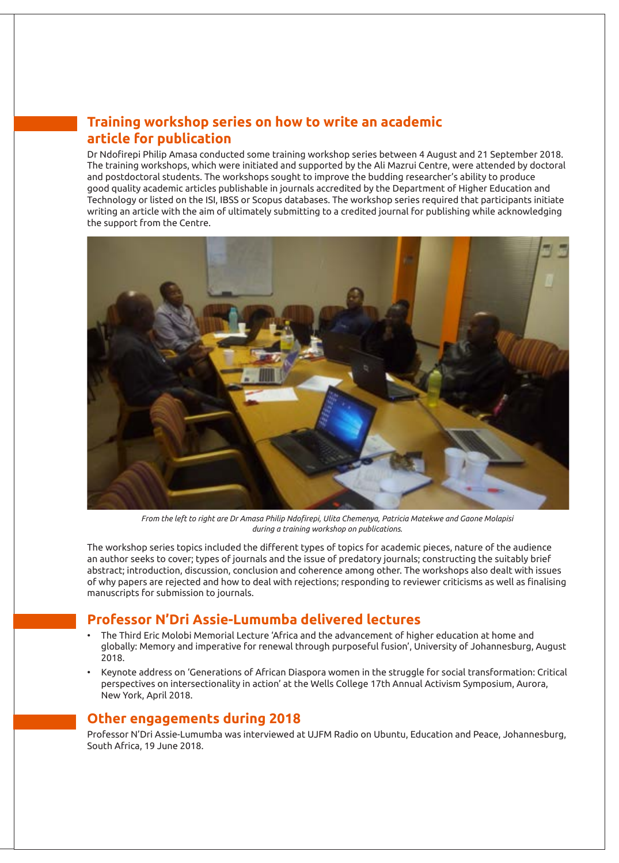### **Training workshop series on how to write an academic article for publication**

Dr Ndofirepi Philip Amasa conducted some training workshop series between 4 August and 21 September 2018. The training workshops, which were initiated and supported by the Ali Mazrui Centre, were attended by doctoral and postdoctoral students. The workshops sought to improve the budding researcher's ability to produce good quality academic articles publishable in journals accredited by the Department of Higher Education and Technology or listed on the ISI, IBSS or Scopus databases. The workshop series required that participants initiate writing an article with the aim of ultimately submitting to a credited journal for publishing while acknowledging the support from the Centre.



*From the left to right are Dr Amasa Philip Ndofirepi, Ulita Chemenya, Patricia Matekwe and Gaone Molapisi during a training workshop on publications.* 

The workshop series topics included the different types of topics for academic pieces, nature of the audience an author seeks to cover; types of journals and the issue of predatory journals; constructing the suitably brief abstract; introduction, discussion, conclusion and coherence among other. The workshops also dealt with issues of why papers are rejected and how to deal with rejections; responding to reviewer criticisms as well as finalising manuscripts for submission to journals.

### **Professor N'Dri Assie-Lumumba delivered lectures**

- The Third Eric Molobi Memorial Lecture 'Africa and the advancement of higher education at home and globally: Memory and imperative for renewal through purposeful fusion', University of Johannesburg, August 2018.
- Keynote address on 'Generations of African Diaspora women in the struggle for social transformation: Critical perspectives on intersectionality in action' at the Wells College 17th Annual Activism Symposium, Aurora, New York, April 2018.

### **Other engagements during 2018**

Professor N'Dri Assie-Lumumba was interviewed at UJFM Radio on Ubuntu, Education and Peace, Johannesburg, South Africa, 19 June 2018.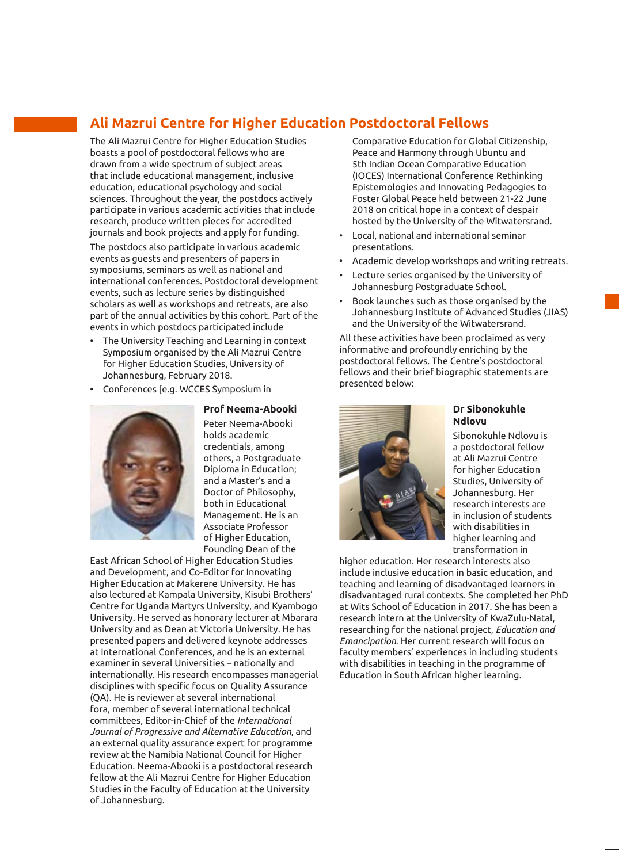## **Ali Mazrui Centre for Higher Education Postdoctoral Fellows**

The Ali Mazrui Centre for Higher Education Studies boasts a pool of postdoctoral fellows who are drawn from a wide spectrum of subject areas that include educational management, inclusive education, educational psychology and social sciences. Throughout the year, the postdocs actively participate in various academic activities that include research, produce written pieces for accredited journals and book projects and apply for funding.

The postdocs also participate in various academic events as guests and presenters of papers in symposiums, seminars as well as national and international conferences. Postdoctoral development events, such as lecture series by distinguished scholars as well as workshops and retreats, are also part of the annual activities by this cohort. Part of the events in which postdocs participated include

- The University Teaching and Learning in context Symposium organised by the Ali Mazrui Centre for Higher Education Studies, University of Johannesburg, February 2018.
- Conferences [e.g. WCCES Symposium in



**Prof Neema-Abooki** Peter Neema-Abooki holds academic credentials, among others, a Postgraduate Diploma in Education; and a Master's and a Doctor of Philosophy, both in Educational Management. He is an Associate Professor of Higher Education, Founding Dean of the

East African School of Higher Education Studies and Development, and Co-Editor for Innovating Higher Education at Makerere University. He has also lectured at Kampala University, Kisubi Brothers' Centre for Uganda Martyrs University, and Kyambogo University. He served as honorary lecturer at Mbarara University and as Dean at Victoria University. He has presented papers and delivered keynote addresses at International Conferences, and he is an external examiner in several Universities – nationally and internationally. His research encompasses managerial disciplines with specific focus on Quality Assurance (QA). He is reviewer at several international fora, member of several international technical committees, Editor-in-Chief of the *International Journal of Progressive and Alternative Education*, and an external quality assurance expert for programme review at the Namibia National Council for Higher Education. Neema-Abooki is a postdoctoral research fellow at the Ali Mazrui Centre for Higher Education Studies in the Faculty of Education at the University of Johannesburg.

Comparative Education for Global Citizenship, Peace and Harmony through Ubuntu and 5th Indian Ocean Comparative Education (IOCES) International Conference Rethinking Epistemologies and Innovating Pedagogies to Foster Global Peace held between 21-22 June 2018 on critical hope in a context of despair hosted by the University of the Witwatersrand.

- Local, national and international seminar presentations.
- Academic develop workshops and writing retreats.
- Lecture series organised by the University of Johannesburg Postgraduate School.
- Book launches such as those organised by the Johannesburg Institute of Advanced Studies (JIAS) and the University of the Witwatersrand.

All these activities have been proclaimed as very informative and profoundly enriching by the postdoctoral fellows. The Centre's postdoctoral fellows and their brief biographic statements are presented below:



#### **Dr Sibonokuhle Ndlovu**

Sibonokuhle Ndlovu is a postdoctoral fellow at Ali Mazrui Centre for higher Education Studies, University of Johannesburg. Her research interests are in inclusion of students with disabilities in higher learning and transformation in

higher education. Her research interests also include inclusive education in basic education, and teaching and learning of disadvantaged learners in disadvantaged rural contexts. She completed her PhD at Wits School of Education in 2017. She has been a research intern at the University of KwaZulu-Natal, researching for the national project, *Education and Emancipation*. Her current research will focus on faculty members' experiences in including students with disabilities in teaching in the programme of Education in South African higher learning.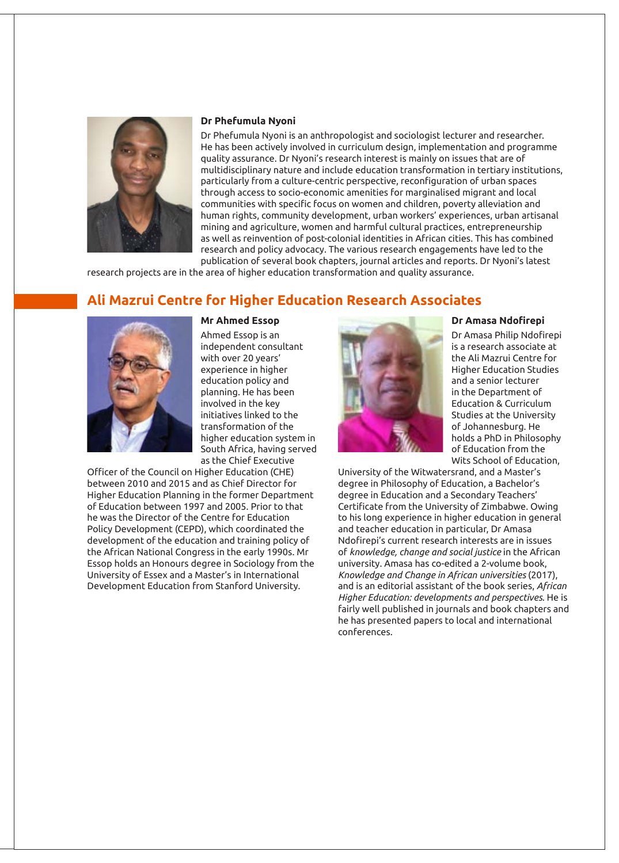

#### **Dr Phefumula Nyoni**

Dr Phefumula Nyoni is an anthropologist and sociologist lecturer and researcher. He has been actively involved in curriculum design, implementation and programme quality assurance. Dr Nyoni's research interest is mainly on issues that are of multidisciplinary nature and include education transformation in tertiary institutions, particularly from a culture-centric perspective, reconfiguration of urban spaces through access to socio-economic amenities for marginalised migrant and local communities with specific focus on women and children, poverty alleviation and human rights, community development, urban workers' experiences, urban artisanal mining and agriculture, women and harmful cultural practices, entrepreneurship as well as reinvention of post-colonial identities in African cities. This has combined research and policy advocacy. The various research engagements have led to the

publication of several book chapters, journal articles and reports. Dr Nyoni's latest research projects are in the area of higher education transformation and quality assurance.

## **Ali Mazrui Centre for Higher Education Research Associates**



#### **Mr Ahmed Essop**

Ahmed Essop is an independent consultant with over 20 years' experience in higher education policy and planning. He has been involved in the key initiatives linked to the transformation of the higher education system in South Africa, having served as the Chief Executive

Officer of the Council on Higher Education (CHE) between 2010 and 2015 and as Chief Director for Higher Education Planning in the former Department of Education between 1997 and 2005. Prior to that he was the Director of the Centre for Education Policy Development (CEPD), which coordinated the development of the education and training policy of the African National Congress in the early 1990s. Mr Essop holds an Honours degree in Sociology from the University of Essex and a Master's in International Development Education from Stanford University.



#### **Dr Amasa Ndofirepi**

Dr Amasa Philip Ndofirepi is a research associate at the Ali Mazrui Centre for Higher Education Studies and a senior lecturer in the Department of Education & Curriculum Studies at the University of Johannesburg. He holds a PhD in Philosophy of Education from the Wits School of Education,

University of the Witwatersrand, and a Master's degree in Philosophy of Education, a Bachelor's degree in Education and a Secondary Teachers' Certificate from the University of Zimbabwe. Owing to his long experience in higher education in general and teacher education in particular, Dr Amasa Ndofirepi's current research interests are in issues of *knowledge, change and social justice* in the African university. Amasa has co-edited a 2-volume book, *Knowledge and Change in African universities* (2017), and is an editorial assistant of the book series, *African Higher Education: developments and perspectives*. He is fairly well published in journals and book chapters and he has presented papers to local and international conferences.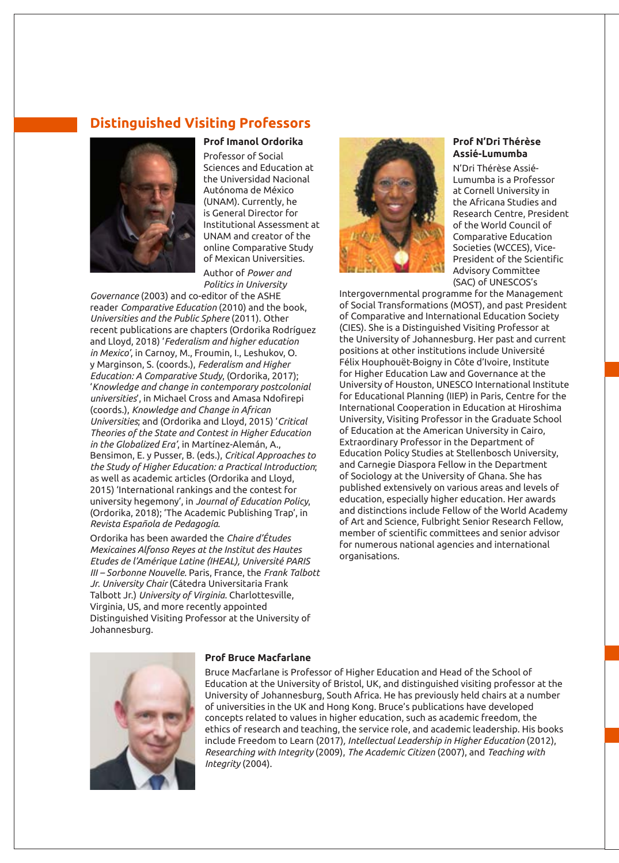### **Distinguished Visiting Professors**



Professor of Social Sciences and Education at the Universidad Nacional Autónoma de México (UNAM). Currently, he is General Director for Institutional Assessment at UNAM and creator of the online Comparative Study of Mexican Universities. Author of *Power and* 

*Politics in University* 

**Prof Imanol Ordorika** 

*Governance* (2003) and co-editor of the ASHE reader *Comparative Education* (2010) and the book, *Universities and the Public Sphere* (2011). Other recent publications are chapters (Ordorika Rodríguez and Lloyd, 2018) '*Federalism and higher education in Mexico'*, in Carnoy, M., Froumin, I., Leshukov, O. y Marginson, S. (coords.), *Federalism and Higher Education: A Comparative Study*, (Ordorika, 2017); '*Knowledge and change in contemporary postcolonial universities*', in Michael Cross and Amasa Ndofirepi (coords.), *Knowledge and Change in African Universities*; and (Ordorika and Lloyd, 2015) '*Critical Theories of the State and Contest in Higher Education in the Globalized Era'*, in Martínez-Alemán, A., Bensimon, E. y Pusser, B. (eds.), *Critical Approaches to the Study of Higher Education: a Practical Introduction*; as well as academic articles (Ordorika and Lloyd, 2015) 'International rankings and the contest for university hegemony', in *Journal of Education Policy*, (Ordorika, 2018); 'The Academic Publishing Trap', in *Revista Española de Pedagogía*.

Ordorika has been awarded the *Chaire d'Études Mexicaines Alfonso Reyes at the Institut des Hautes Etudes de l'Amérique Latine (IHEAL), Université PARIS III – Sorbonne Nouvelle*. Paris, France, the *Frank Talbott Jr. University Chair* (Cátedra Universitaria Frank Talbott Jr.) *University of Virginia.* Charlottesville, Virginia, US, and more recently appointed Distinguished Visiting Professor at the University of Johannesburg.



#### **Prof N'Dri Thérèse Assié-Lumumba**

N'Dri Thérèse Assié-Lumumba is a Professor at Cornell University in the Africana Studies and Research Centre, President of the World Council of Comparative Education Societies (WCCES), Vice-President of the Scientific Advisory Committee (SAC) of UNESCOS's

Intergovernmental programme for the Management of Social Transformations (MOST), and past President of Comparative and International Education Society (CIES). She is a Distinguished Visiting Professor at the University of Johannesburg. Her past and current positions at other institutions include Université Félix Houphouët-Boigny in Côte d'Ivoire, Institute for Higher Education Law and Governance at the University of Houston, UNESCO International Institute for Educational Planning (IIEP) in Paris, Centre for the International Cooperation in Education at Hiroshima University, Visiting Professor in the Graduate School of Education at the American University in Cairo, Extraordinary Professor in the Department of Education Policy Studies at Stellenbosch University, and Carnegie Diaspora Fellow in the Department of Sociology at the University of Ghana. She has published extensively on various areas and levels of education, especially higher education. Her awards and distinctions include Fellow of the World Academy of Art and Science, Fulbright Senior Research Fellow, member of scientific committees and senior advisor for numerous national agencies and international organisations.



#### **Prof Bruce Macfarlane**

Bruce Macfarlane is Professor of Higher Education and Head of the School of Education at the University of Bristol, UK, and distinguished visiting professor at the University of Johannesburg, South Africa. He has previously held chairs at a number of universities in the UK and Hong Kong. Bruce's publications have developed concepts related to values in higher education, such as academic freedom, the ethics of research and teaching, the service role, and academic leadership. His books include Freedom to Learn (2017)*, Intellectual Leadership in Higher Education* (2012), *Researching with Integrity* (2009), *The Academic Citizen* (2007), and *Teaching with Integrity* (2004).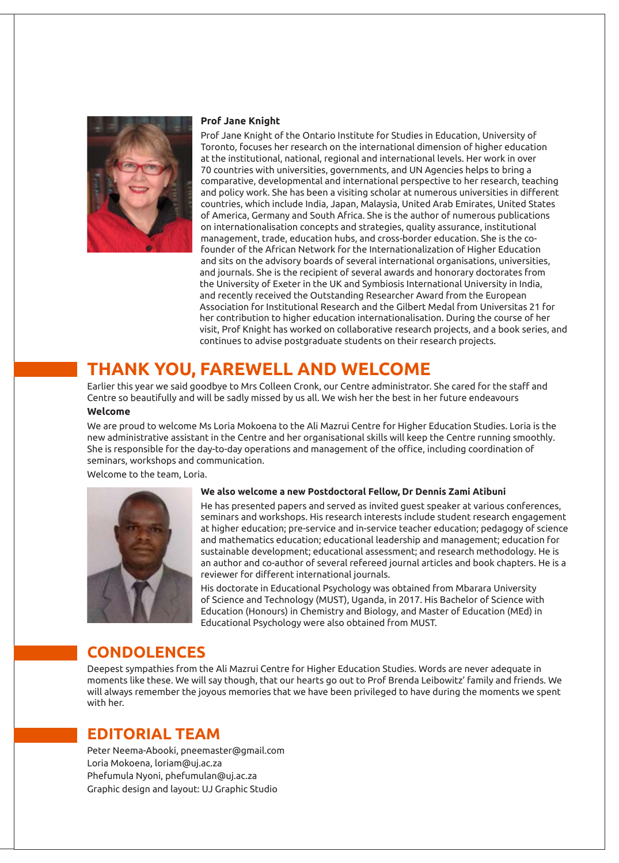

#### **Prof Jane Knight**

Prof Jane Knight of the Ontario Institute for Studies in Education, University of Toronto, focuses her research on the international dimension of higher education at the institutional, national, regional and international levels. Her work in over 70 countries with universities, governments, and UN Agencies helps to bring a comparative, developmental and international perspective to her research, teaching and policy work. She has been a visiting scholar at numerous universities in different countries, which include India, Japan, Malaysia, United Arab Emirates, United States of America, Germany and South Africa. She is the author of numerous publications on internationalisation concepts and strategies, quality assurance, institutional management, trade, education hubs, and cross-border education. She is the cofounder of the African Network for the Internationalization of Higher Education and sits on the advisory boards of several international organisations, universities, and journals. She is the recipient of several awards and honorary doctorates from the University of Exeter in the UK and Symbiosis International University in India, and recently received the Outstanding Researcher Award from the European Association for Institutional Research and the Gilbert Medal from Universitas 21 for her contribution to higher education internationalisation. During the course of her visit, Prof Knight has worked on collaborative research projects, and a book series, and continues to advise postgraduate students on their research projects.

# **THANK YOU, FAREWELL AND WELCOME**

Earlier this year we said goodbye to Mrs Colleen Cronk, our Centre administrator. She cared for the staff and Centre so beautifully and will be sadly missed by us all. We wish her the best in her future endeavours

#### **Welcome**

We are proud to welcome Ms Loria Mokoena to the Ali Mazrui Centre for Higher Education Studies. Loria is the new administrative assistant in the Centre and her organisational skills will keep the Centre running smoothly. She is responsible for the day-to-day operations and management of the office, including coordination of seminars, workshops and communication.

Welcome to the team, Loria.



#### **We also welcome a new Postdoctoral Fellow, Dr Dennis Zami Atibuni**

He has presented papers and served as invited guest speaker at various conferences, seminars and workshops. His research interests include student research engagement at higher education; pre-service and in-service teacher education; pedagogy of science and mathematics education; educational leadership and management; education for sustainable development; educational assessment; and research methodology. He is an author and co-author of several refereed journal articles and book chapters. He is a reviewer for different international journals.

His doctorate in Educational Psychology was obtained from Mbarara University of Science and Technology (MUST), Uganda, in 2017. His Bachelor of Science with Education (Honours) in Chemistry and Biology, and Master of Education (MEd) in Educational Psychology were also obtained from MUST.

### **CONDOLENCES**

Deepest sympathies from the Ali Mazrui Centre for Higher Education Studies. Words are never adequate in moments like these. We will say though, that our hearts go out to Prof Brenda Leibowitz' family and friends. We will always remember the joyous memories that we have been privileged to have during the moments we spent with her.

### **EDITORIAL TEAM**

Peter Neema-Abooki, pneemaster@gmail.com Loria Mokoena, loriam@uj.ac.za Phefumula Nyoni, phefumulan@uj.ac.za Graphic design and layout: UJ Graphic Studio